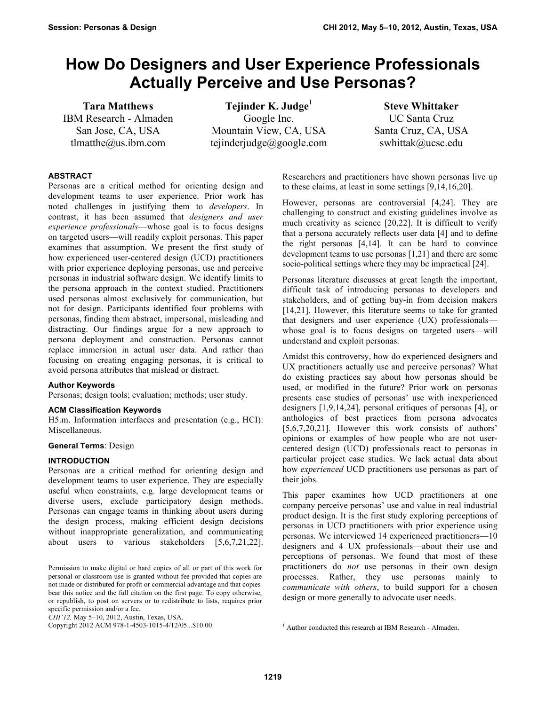# **How Do Designers and User Experience Professionals Actually Perceive and Use Personas?**

**Tara Matthews** IBM Research - Almaden San Jose, CA, USA tlmatthe@us.ibm.com

**Tejinder K. Judge**<sup>1</sup> Google Inc. Mountain View, CA, USA tejinderjudge@google.com

**Steve Whittaker** UC Santa Cruz Santa Cruz, CA, USA swhittak@ucsc.edu

# **ABSTRACT**

Personas are a critical method for orienting design and development teams to user experience. Prior work has noted challenges in justifying them to *developers*. In contrast, it has been assumed that *designers and user experience professionals*—whose goal is to focus designs on targeted users—will readily exploit personas. This paper examines that assumption. We present the first study of how experienced user-centered design (UCD) practitioners with prior experience deploying personas, use and perceive personas in industrial software design. We identify limits to the persona approach in the context studied. Practitioners used personas almost exclusively for communication, but not for design. Participants identified four problems with personas, finding them abstract, impersonal, misleading and distracting. Our findings argue for a new approach to persona deployment and construction. Personas cannot replace immersion in actual user data. And rather than focusing on creating engaging personas, it is critical to avoid persona attributes that mislead or distract.

#### **Author Keywords**

Personas; design tools; evaluation; methods; user study.

#### **ACM Classification Keywords**

H5.m. Information interfaces and presentation (e.g., HCI): Miscellaneous.

#### **General Terms**: Design

#### **INTRODUCTION**

Personas are a critical method for orienting design and development teams to user experience. They are especially useful when constraints, e.g. large development teams or diverse users, exclude participatory design methods. Personas can engage teams in thinking about users during the design process, making efficient design decisions without inappropriate generalization, and communicating about users to various stakeholders [5,6,7,21,22].

Researchers and practitioners have shown personas live up to these claims, at least in some settings [9,14,16,20].

However, personas are controversial [4,24]. They are challenging to construct and existing guidelines involve as much creativity as science [20,22]. It is difficult to verify that a persona accurately reflects user data [4] and to define the right personas [4,14]. It can be hard to convince development teams to use personas [1,21] and there are some socio-political settings where they may be impractical [24].

Personas literature discusses at great length the important, difficult task of introducing personas to developers and stakeholders, and of getting buy-in from decision makers [14,21]. However, this literature seems to take for granted that designers and user experience (UX) professionals whose goal is to focus designs on targeted users—will understand and exploit personas.

Amidst this controversy, how do experienced designers and UX practitioners actually use and perceive personas? What do existing practices say about how personas should be used, or modified in the future? Prior work on personas presents case studies of personas' use with inexperienced designers [1,9,14,24], personal critiques of personas [4], or anthologies of best practices from persona advocates [5,6,7,20,21]. However this work consists of authors' opinions or examples of how people who are not usercentered design (UCD) professionals react to personas in particular project case studies. We lack actual data about how *experienced* UCD practitioners use personas as part of their jobs.

This paper examines how UCD practitioners at one company perceive personas' use and value in real industrial product design. It is the first study exploring perceptions of personas in UCD practitioners with prior experience using personas. We interviewed 14 experienced practitioners—10 designers and 4 UX professionals—about their use and perceptions of personas. We found that most of these practitioners do *not* use personas in their own design processes. Rather, they use personas mainly to *communicate with others*, to build support for a chosen design or more generally to advocate user needs.

Permission to make digital or hard copies of all or part of this work for personal or classroom use is granted without fee provided that copies are not made or distributed for profit or commercial advantage and that copies bear this notice and the full citation on the first page. To copy otherwise, or republish, to post on servers or to redistribute to lists, requires prior specific permission and/or a fee.

*CHI'12,* May 5–10, 2012, Austin, Texas, USA.

Copyright 2012 ACM 978-1-4503-1015-4/12/05...\$10.00.

<sup>&</sup>lt;sup>1</sup> Author conducted this research at IBM Research - Almaden.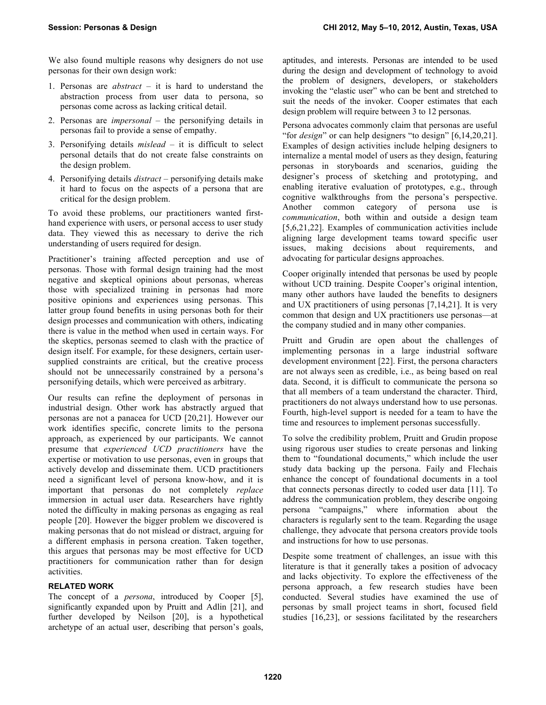We also found multiple reasons why designers do not use personas for their own design work:

- 1. Personas are *abstract* it is hard to understand the abstraction process from user data to persona, so personas come across as lacking critical detail.
- 2. Personas are *impersonal* the personifying details in personas fail to provide a sense of empathy.
- 3. Personifying details *mislead* it is difficult to select personal details that do not create false constraints on the design problem.
- 4. Personifying details *distract* personifying details make it hard to focus on the aspects of a persona that are critical for the design problem.

To avoid these problems, our practitioners wanted firsthand experience with users, or personal access to user study data. They viewed this as necessary to derive the rich understanding of users required for design.

Practitioner's training affected perception and use of personas. Those with formal design training had the most negative and skeptical opinions about personas, whereas those with specialized training in personas had more positive opinions and experiences using personas. This latter group found benefits in using personas both for their design processes and communication with others, indicating there is value in the method when used in certain ways. For the skeptics, personas seemed to clash with the practice of design itself. For example, for these designers, certain usersupplied constraints are critical, but the creative process should not be unnecessarily constrained by a persona's personifying details, which were perceived as arbitrary.

Our results can refine the deployment of personas in industrial design. Other work has abstractly argued that personas are not a panacea for UCD [20,21]. However our work identifies specific, concrete limits to the persona approach, as experienced by our participants. We cannot presume that *experienced UCD practitioners* have the expertise or motivation to use personas, even in groups that actively develop and disseminate them. UCD practitioners need a significant level of persona know-how, and it is important that personas do not completely *replace* immersion in actual user data. Researchers have rightly noted the difficulty in making personas as engaging as real people [20]. However the bigger problem we discovered is making personas that do not mislead or distract, arguing for a different emphasis in persona creation. Taken together, this argues that personas may be most effective for UCD practitioners for communication rather than for design activities.

# **RELATED WORK**

The concept of a *persona*, introduced by Cooper [5], significantly expanded upon by Pruitt and Adlin [21], and further developed by Neilson [20], is a hypothetical archetype of an actual user, describing that person's goals,

aptitudes, and interests. Personas are intended to be used during the design and development of technology to avoid the problem of designers, developers, or stakeholders invoking the "elastic user" who can be bent and stretched to suit the needs of the invoker. Cooper estimates that each design problem will require between 3 to 12 personas.

Persona advocates commonly claim that personas are useful "for *design*" or can help designers "to design" [6,14,20,21]. Examples of design activities include helping designers to internalize a mental model of users as they design, featuring personas in storyboards and scenarios, guiding the designer's process of sketching and prototyping, and enabling iterative evaluation of prototypes, e.g., through cognitive walkthroughs from the persona's perspective. Another common category of persona use is *communication*, both within and outside a design team [5,6,21,22]. Examples of communication activities include aligning large development teams toward specific user issues, making decisions about requirements, and advocating for particular designs approaches.

Cooper originally intended that personas be used by people without UCD training. Despite Cooper's original intention, many other authors have lauded the benefits to designers and UX practitioners of using personas [7,14,21]. It is very common that design and UX practitioners use personas—at the company studied and in many other companies.

Pruitt and Grudin are open about the challenges of implementing personas in a large industrial software development environment [22]. First, the persona characters are not always seen as credible, i.e., as being based on real data. Second, it is difficult to communicate the persona so that all members of a team understand the character. Third, practitioners do not always understand how to use personas. Fourth, high-level support is needed for a team to have the time and resources to implement personas successfully.

To solve the credibility problem, Pruitt and Grudin propose using rigorous user studies to create personas and linking them to "foundational documents," which include the user study data backing up the persona. Faily and Flechais enhance the concept of foundational documents in a tool that connects personas directly to coded user data [11]. To address the communication problem, they describe ongoing persona "campaigns," where information about the characters is regularly sent to the team. Regarding the usage challenge, they advocate that persona creators provide tools and instructions for how to use personas.

Despite some treatment of challenges, an issue with this literature is that it generally takes a position of advocacy and lacks objectivity. To explore the effectiveness of the persona approach, a few research studies have been conducted. Several studies have examined the use of personas by small project teams in short, focused field studies [16,23], or sessions facilitated by the researchers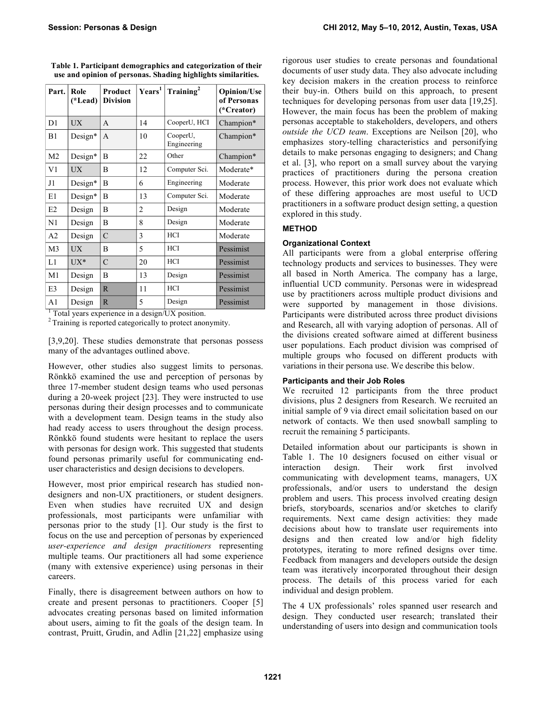| Part.          | Role<br>(*Lead) | Product<br><b>Division</b> | Years <sup>1</sup> | Training <sup>2</sup>   | <b>Opinion/Use</b><br>of Personas<br>(*Creator) |
|----------------|-----------------|----------------------------|--------------------|-------------------------|-------------------------------------------------|
| D <sub>1</sub> | <b>UX</b>       | A                          | 14                 | CooperU, HCI            | Champion*                                       |
| B1             | Design*         | A                          | 10                 | CooperU,<br>Engineering | Champion*                                       |
| M <sub>2</sub> | Design*         | B                          | 22                 | Other                   | Champion*                                       |
| V1             | <b>UX</b>       | B                          | 12                 | Computer Sci.           | Moderate*                                       |
| J1             | Design*         | В                          | 6                  | Engineering             | Moderate                                        |
| E1             | Design*         | B                          | 13                 | Computer Sci.           | Moderate                                        |
| E2             | Design          | B                          | 2                  | Design                  | Moderate                                        |
| N1             | Design          | B                          | 8                  | Design                  | Moderate                                        |
| A2             | Design          | $\mathcal{C}$              | 3                  | HCI                     | Moderate                                        |
| M <sub>3</sub> | <b>UX</b>       | B                          | 5                  | <b>HCI</b>              | Pessimist                                       |
| L1             | $UX^*$          | $\mathcal{C}$              | 20                 | <b>HCI</b>              | Pessimist                                       |
| M1             | Design          | B                          | 13                 | Design                  | Pessimist                                       |
| E3             | Design          | $\mathbb{R}$               | 11                 | HCI                     | Pessimist                                       |
| A <sub>1</sub> | Design          | $\mathbb{R}$               | 5                  | Design                  | Pessimist                                       |

**Table 1. Participant demographics and categorization of their use and opinion of personas. Shading highlights similarities.**

<sup>1</sup> Total years experience in a design/UX position. <sup>2</sup> Training is reported categorically to protect anonymity.

[3,9,20]. These studies demonstrate that personas possess many of the advantages outlined above.

However, other studies also suggest limits to personas. Rönkkö examined the use and perception of personas by three 17-member student design teams who used personas during a 20-week project [23]. They were instructed to use personas during their design processes and to communicate with a development team. Design teams in the study also had ready access to users throughout the design process. Rönkkö found students were hesitant to replace the users with personas for design work. This suggested that students found personas primarily useful for communicating enduser characteristics and design decisions to developers.

However, most prior empirical research has studied nondesigners and non-UX practitioners, or student designers. Even when studies have recruited UX and design professionals, most participants were unfamiliar with personas prior to the study [1]. Our study is the first to focus on the use and perception of personas by experienced *user-experience and design practitioners* representing multiple teams. Our practitioners all had some experience (many with extensive experience) using personas in their careers.

Finally, there is disagreement between authors on how to create and present personas to practitioners. Cooper [5] advocates creating personas based on limited information about users, aiming to fit the goals of the design team. In contrast, Pruitt, Grudin, and Adlin [21,22] emphasize using rigorous user studies to create personas and foundational documents of user study data. They also advocate including key decision makers in the creation process to reinforce their buy-in. Others build on this approach, to present techniques for developing personas from user data [19,25]. However, the main focus has been the problem of making personas acceptable to stakeholders, developers, and others *outside the UCD team*. Exceptions are Neilson [20], who emphasizes story-telling characteristics and personifying details to make personas engaging to designers; and Chang et al. [3], who report on a small survey about the varying practices of practitioners during the persona creation process. However, this prior work does not evaluate which of these differing approaches are most useful to UCD practitioners in a software product design setting, a question explored in this study.

# **METHOD**

#### **Organizational Context**

All participants were from a global enterprise offering technology products and services to businesses. They were all based in North America. The company has a large, influential UCD community. Personas were in widespread use by practitioners across multiple product divisions and were supported by management in those divisions. Participants were distributed across three product divisions and Research, all with varying adoption of personas. All of the divisions created software aimed at different business user populations. Each product division was comprised of multiple groups who focused on different products with variations in their persona use. We describe this below.

### **Participants and their Job Roles**

We recruited 12 participants from the three product divisions, plus 2 designers from Research. We recruited an initial sample of 9 via direct email solicitation based on our network of contacts. We then used snowball sampling to recruit the remaining 5 participants.

Detailed information about our participants is shown in Table 1. The 10 designers focused on either visual or interaction design. Their work first involved communicating with development teams, managers, UX professionals, and/or users to understand the design problem and users. This process involved creating design briefs, storyboards, scenarios and/or sketches to clarify requirements. Next came design activities: they made decisions about how to translate user requirements into designs and then created low and/or high fidelity prototypes, iterating to more refined designs over time. Feedback from managers and developers outside the design team was iteratively incorporated throughout their design process. The details of this process varied for each individual and design problem.

The 4 UX professionals' roles spanned user research and design. They conducted user research; translated their understanding of users into design and communication tools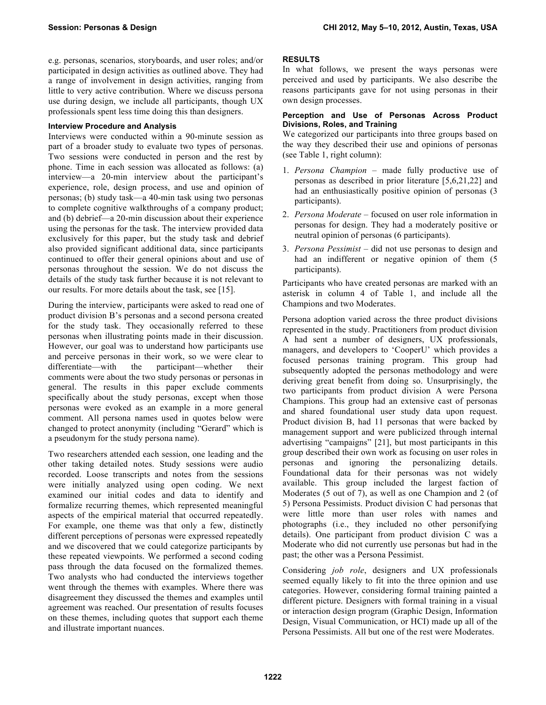e.g. personas, scenarios, storyboards, and user roles; and/or participated in design activities as outlined above. They had a range of involvement in design activities, ranging from little to very active contribution. Where we discuss persona use during design, we include all participants, though UX professionals spent less time doing this than designers.

#### **Interview Procedure and Analysis**

Interviews were conducted within a 90-minute session as part of a broader study to evaluate two types of personas. Two sessions were conducted in person and the rest by phone. Time in each session was allocated as follows: (a) interview—a 20-min interview about the participant's experience, role, design process, and use and opinion of personas; (b) study task—a 40-min task using two personas to complete cognitive walkthroughs of a company product; and (b) debrief—a 20-min discussion about their experience using the personas for the task. The interview provided data exclusively for this paper, but the study task and debrief also provided significant additional data, since participants continued to offer their general opinions about and use of personas throughout the session. We do not discuss the details of the study task further because it is not relevant to our results. For more details about the task, see [15].

During the interview, participants were asked to read one of product division B's personas and a second persona created for the study task. They occasionally referred to these personas when illustrating points made in their discussion. However, our goal was to understand how participants use and perceive personas in their work, so we were clear to differentiate—with the participant—whether their comments were about the two study personas or personas in general. The results in this paper exclude comments specifically about the study personas, except when those personas were evoked as an example in a more general comment. All persona names used in quotes below were changed to protect anonymity (including "Gerard" which is a pseudonym for the study persona name).

Two researchers attended each session, one leading and the other taking detailed notes. Study sessions were audio recorded. Loose transcripts and notes from the sessions were initially analyzed using open coding. We next examined our initial codes and data to identify and formalize recurring themes, which represented meaningful aspects of the empirical material that occurred repeatedly. For example, one theme was that only a few, distinctly different perceptions of personas were expressed repeatedly and we discovered that we could categorize participants by these repeated viewpoints. We performed a second coding pass through the data focused on the formalized themes. Two analysts who had conducted the interviews together went through the themes with examples. Where there was disagreement they discussed the themes and examples until agreement was reached. Our presentation of results focuses on these themes, including quotes that support each theme and illustrate important nuances.

# **RESULTS**

In what follows, we present the ways personas were perceived and used by participants. We also describe the reasons participants gave for not using personas in their own design processes.

#### **Perception and Use of Personas Across Product Divisions, Roles, and Training**

We categorized our participants into three groups based on the way they described their use and opinions of personas (see Table 1, right column):

- 1. *Persona Champion* made fully productive use of personas as described in prior literature [5,6,21,22] and had an enthusiastically positive opinion of personas (3 participants).
- 2. *Persona Moderate* focused on user role information in personas for design. They had a moderately positive or neutral opinion of personas (6 participants).
- 3. *Persona Pessimist* did not use personas to design and had an indifferent or negative opinion of them  $(5)$ participants).

Participants who have created personas are marked with an asterisk in column 4 of Table 1, and include all the Champions and two Moderates.

Persona adoption varied across the three product divisions represented in the study. Practitioners from product division A had sent a number of designers, UX professionals, managers, and developers to 'CooperU' which provides a focused personas training program. This group had subsequently adopted the personas methodology and were deriving great benefit from doing so. Unsurprisingly, the two participants from product division A were Persona Champions. This group had an extensive cast of personas and shared foundational user study data upon request. Product division B, had 11 personas that were backed by management support and were publicized through internal advertising "campaigns" [21], but most participants in this group described their own work as focusing on user roles in personas and ignoring the personalizing details. Foundational data for their personas was not widely available. This group included the largest faction of Moderates (5 out of 7), as well as one Champion and 2 (of 5) Persona Pessimists. Product division C had personas that were little more than user roles with names and photographs (i.e., they included no other personifying details). One participant from product division C was a Moderate who did not currently use personas but had in the past; the other was a Persona Pessimist.

Considering *job role*, designers and UX professionals seemed equally likely to fit into the three opinion and use categories. However, considering formal training painted a different picture. Designers with formal training in a visual or interaction design program (Graphic Design, Information Design, Visual Communication, or HCI) made up all of the Persona Pessimists. All but one of the rest were Moderates.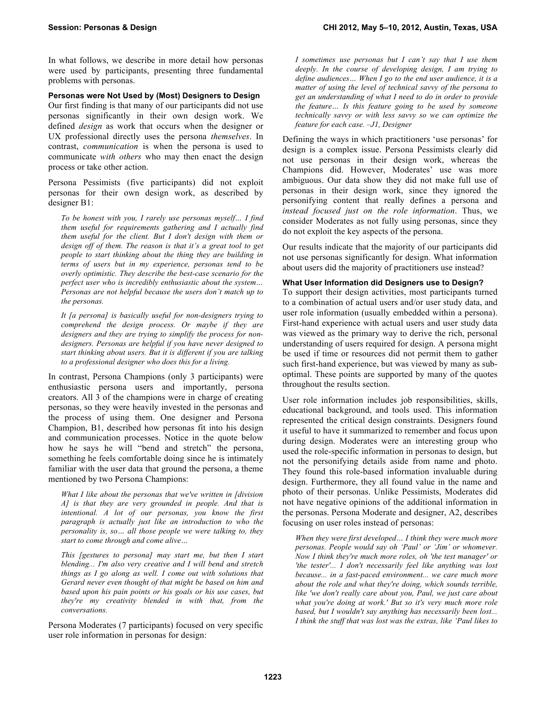In what follows, we describe in more detail how personas were used by participants, presenting three fundamental problems with personas.

**Personas were Not Used by (Most) Designers to Design**

Our first finding is that many of our participants did not use personas significantly in their own design work. We defined *design* as work that occurs when the designer or UX professional directly uses the persona *themselves*. In contrast, *communication* is when the persona is used to communicate *with others* who may then enact the design process or take other action.

Persona Pessimists (five participants) did not exploit personas for their own design work, as described by designer B1:

*To be honest with you, I rarely use personas myself… I find them useful for requirements gathering and I actually find them useful for the client. But I don't design with them or design off of them. The reason is that it's a great tool to get people to start thinking about the thing they are building in terms of users but in my experience, personas tend to be overly optimistic. They describe the best-case scenario for the perfect user who is incredibly enthusiastic about the system… Personas are not helpful because the users don't match up to the personas.*

*It [a persona] is basically useful for non-designers trying to comprehend the design process. Or maybe if they are designers and they are trying to simplify the process for nondesigners. Personas are helpful if you have never designed to start thinking about users. But it is different if you are talking to a professional designer who does this for a living.*

In contrast, Persona Champions (only 3 participants) were enthusiastic persona users and importantly, persona creators. All 3 of the champions were in charge of creating personas, so they were heavily invested in the personas and the process of using them. One designer and Persona Champion, B1, described how personas fit into his design and communication processes. Notice in the quote below how he says he will "bend and stretch" the persona, something he feels comfortable doing since he is intimately familiar with the user data that ground the persona, a theme mentioned by two Persona Champions:

*What I like about the personas that we've written in [division A] is that they are very grounded in people. And that is intentional. A lot of our personas, you know the first paragraph is actually just like an introduction to who the personality is, so… all those people we were talking to, they start to come through and come alive…*

*This [gestures to persona] may start me, but then I start blending... I'm also very creative and I will bend and stretch things as I go along as well. I come out with solutions that Gerard never even thought of that might be based on him and based upon his pain points or his goals or his use cases, but they're my creativity blended in with that, from the conversations.*

Persona Moderates (7 participants) focused on very specific user role information in personas for design:

*I sometimes use personas but I can't say that I use them deeply. In the course of developing design, I am trying to define audiences… When I go to the end user audience, it is a matter of using the level of technical savvy of the persona to get an understanding of what I need to do in order to provide the feature… Is this feature going to be used by someone technically savvy or with less savvy so we can optimize the feature for each case. –J1, Designer*

Defining the ways in which practitioners 'use personas' for design is a complex issue. Persona Pessimists clearly did not use personas in their design work, whereas the Champions did. However, Moderates' use was more ambiguous. Our data show they did not make full use of personas in their design work, since they ignored the personifying content that really defines a persona and *instead focused just on the role information*. Thus, we consider Moderates as not fully using personas, since they do not exploit the key aspects of the persona.

Our results indicate that the majority of our participants did not use personas significantly for design. What information about users did the majority of practitioners use instead?

# **What User Information did Designers use to Design?**

To support their design activities, most participants turned to a combination of actual users and/or user study data, and user role information (usually embedded within a persona). First-hand experience with actual users and user study data was viewed as the primary way to derive the rich, personal understanding of users required for design. A persona might be used if time or resources did not permit them to gather such first-hand experience, but was viewed by many as suboptimal. These points are supported by many of the quotes throughout the results section.

User role information includes job responsibilities, skills, educational background, and tools used. This information represented the critical design constraints. Designers found it useful to have it summarized to remember and focus upon during design. Moderates were an interesting group who used the role-specific information in personas to design, but not the personifying details aside from name and photo. They found this role-based information invaluable during design. Furthermore, they all found value in the name and photo of their personas. Unlike Pessimists, Moderates did not have negative opinions of the additional information in the personas. Persona Moderate and designer, A2, describes focusing on user roles instead of personas:

*When they were first developed… I think they were much more personas. People would say oh 'Paul' or 'Jim' or whomever. Now I think they're much more roles, oh 'the test manager' or 'the tester'... I don't necessarily feel like anything was lost because... in a fast-paced environment... we care much more about the role and what they're doing, which sounds terrible, like 'we don't really care about you, Paul, we just care about what you're doing at work.' But so it's very much more role based, but I wouldn't say anything has necessarily been lost... I think the stuff that was lost was the extras, like 'Paul likes to*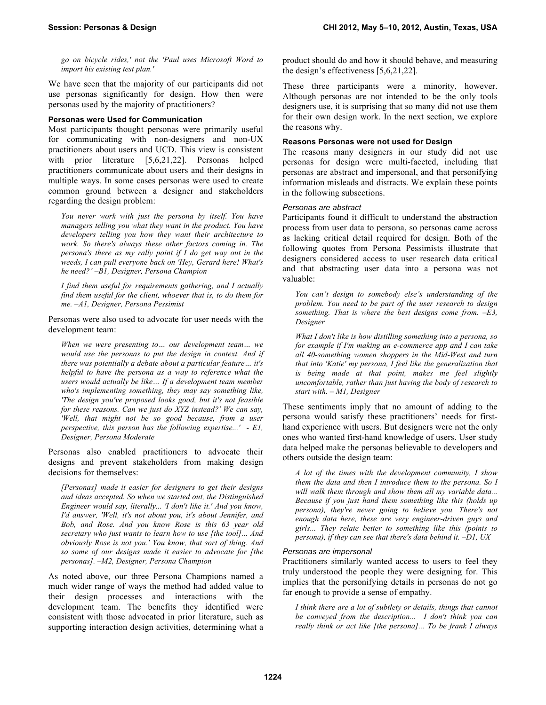*go on bicycle rides,' not the 'Paul uses Microsoft Word to import his existing test plan.'*

We have seen that the majority of our participants did not use personas significantly for design. How then were personas used by the majority of practitioners?

#### **Personas were Used for Communication**

Most participants thought personas were primarily useful for communicating with non-designers and non-UX practitioners about users and UCD. This view is consistent with prior literature [5,6,21,22]. Personas helped practitioners communicate about users and their designs in multiple ways. In some cases personas were used to create common ground between a designer and stakeholders regarding the design problem:

*You never work with just the persona by itself. You have managers telling you what they want in the product. You have developers telling you how they want their architecture to work. So there's always these other factors coming in. The persona's there as my rally point if I do get way out in the weeds, I can pull everyone back on 'Hey, Gerard here! What's he need?' –B1, Designer, Persona Champion*

*I find them useful for requirements gathering, and I actually find them useful for the client, whoever that is, to do them for me. –A1, Designer, Persona Pessimist*

Personas were also used to advocate for user needs with the development team:

*When we were presenting to… our development team… we would use the personas to put the design in context. And if there was potentially a debate about a particular feature… it's helpful to have the persona as a way to reference what the users would actually be like… If a development team member who's implementing something, they may say something like, 'The design you've proposed looks good, but it's not feasible for these reasons. Can we just do XYZ instead?' We can say, 'Well, that might not be so good because, from a user perspective, this person has the following expertise...' - E1, Designer, Persona Moderate*

Personas also enabled practitioners to advocate their designs and prevent stakeholders from making design decisions for themselves:

*[Personas] made it easier for designers to get their designs and ideas accepted. So when we started out, the Distinguished Engineer would say, literally... 'I don't like it.' And you know, I'd answer, 'Well, it's not about you, it's about Jennifer, and Bob, and Rose. And you know Rose is this 63 year old secretary who just wants to learn how to use [the tool]... And obviously Rose is not you.' You know, that sort of thing. And so some of our designs made it easier to advocate for [the personas]. –M2, Designer, Persona Champion*

As noted above, our three Persona Champions named a much wider range of ways the method had added value to their design processes and interactions with the development team. The benefits they identified were consistent with those advocated in prior literature, such as supporting interaction design activities, determining what a

product should do and how it should behave, and measuring the design's effectiveness [5,6,21,22].

These three participants were a minority, however. Although personas are not intended to be the only tools designers use, it is surprising that so many did not use them for their own design work. In the next section, we explore the reasons why.

## **Reasons Personas were not used for Design**

The reasons many designers in our study did not use personas for design were multi-faceted, including that personas are abstract and impersonal, and that personifying information misleads and distracts. We explain these points in the following subsections.

# *Personas are abstract*

Participants found it difficult to understand the abstraction process from user data to persona, so personas came across as lacking critical detail required for design. Both of the following quotes from Persona Pessimists illustrate that designers considered access to user research data critical and that abstracting user data into a persona was not valuable:

*You can't design to somebody else's understanding of the problem. You need to be part of the user research to design something. That is where the best designs come from. –E3, Designer*

*What I don't like is how distilling something into a persona, so for example if I'm making an e-commerce app and I can take all 40-something women shoppers in the Mid-West and turn that into 'Katie' my persona, I feel like the generalization that is being made at that point, makes me feel slightly uncomfortable, rather than just having the body of research to start with. – M1, Designer*

These sentiments imply that no amount of adding to the persona would satisfy these practitioners' needs for firsthand experience with users. But designers were not the only ones who wanted first-hand knowledge of users. User study data helped make the personas believable to developers and others outside the design team:

*A lot of the times with the development community, I show them the data and then I introduce them to the persona. So I will walk them through and show them all my variable data... Because if you just hand them something like this (holds up persona), they're never going to believe you. There's not enough data here, these are very engineer-driven guys and girls... They relate better to something like this (points to persona), if they can see that there's data behind it. –D1, UX*

#### *Personas are impersonal*

Practitioners similarly wanted access to users to feel they truly understood the people they were designing for. This implies that the personifying details in personas do not go far enough to provide a sense of empathy.

*I think there are a lot of subtlety or details, things that cannot be conveyed from the description... I don't think you can really think or act like [the persona]... To be frank I always*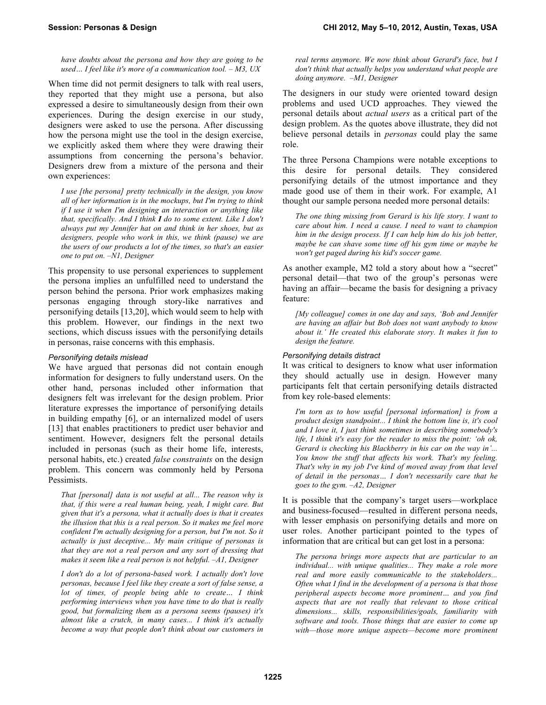*have doubts about the persona and how they are going to be used… I feel like it's more of a communication tool. – M3, UX*

When time did not permit designers to talk with real users, they reported that they might use a persona, but also expressed a desire to simultaneously design from their own experiences. During the design exercise in our study, designers were asked to use the persona. After discussing how the persona might use the tool in the design exercise, we explicitly asked them where they were drawing their assumptions from concerning the persona's behavior. Designers drew from a mixture of the persona and their own experiences:

*I use [the persona] pretty technically in the design, you know all of her information is in the mockups, but I'm trying to think if I use it when I'm designing an interaction or anything like that, specifically. And I think I do to some extent. Like I don't always put my Jennifer hat on and think in her shoes, but as designers, people who work in this, we think (pause) we are the users of our products a lot of the times, so that's an easier one to put on. –N1, Designer*

This propensity to use personal experiences to supplement the persona implies an unfulfilled need to understand the person behind the persona. Prior work emphasizes making personas engaging through story-like narratives and personifying details [13,20], which would seem to help with this problem. However, our findings in the next two sections, which discuss issues with the personifying details in personas, raise concerns with this emphasis.

#### *Personifying details mislead*

We have argued that personas did not contain enough information for designers to fully understand users. On the other hand, personas included other information that designers felt was irrelevant for the design problem. Prior literature expresses the importance of personifying details in building empathy [6], or an internalized model of users [13] that enables practitioners to predict user behavior and sentiment. However, designers felt the personal details included in personas (such as their home life, interests, personal habits, etc.) created *false constraints* on the design problem. This concern was commonly held by Persona Pessimists.

*That [personal] data is not useful at all... The reason why is that, if this were a real human being, yeah, I might care. But given that it's a persona, what it actually does is that it creates the illusion that this is a real person. So it makes me feel more confident I'm actually designing for a person, but I'm not. So it actually is just deceptive... My main critique of personas is that they are not a real person and any sort of dressing that makes it seem like a real person is not helpful. –A1, Designer*

*I don't do a lot of persona-based work. I actually don't love personas, because I feel like they create a sort of false sense, a lot of times, of people being able to create… I think performing interviews when you have time to do that is really good, but formalizing them as a persona seems (pauses) it's almost like a crutch, in many cases... I think it's actually become a way that people don't think about our customers in* 

*real terms anymore. We now think about Gerard's face, but I don't think that actually helps you understand what people are doing anymore. –M1, Designer*

The designers in our study were oriented toward design problems and used UCD approaches. They viewed the personal details about *actual users* as a critical part of the design problem. As the quotes above illustrate, they did not believe personal details in *personas* could play the same role.

The three Persona Champions were notable exceptions to this desire for personal details. They considered personifying details of the utmost importance and they made good use of them in their work. For example, A1 thought our sample persona needed more personal details:

*The one thing missing from Gerard is his life story. I want to care about him. I need a cause. I need to want to champion him in the design process. If I can help him do his job better, maybe he can shave some time off his gym time or maybe he won't get paged during his kid's soccer game.*

As another example, M2 told a story about how a "secret" personal detail—that two of the group's personas were having an affair—became the basis for designing a privacy feature:

*[My colleague] comes in one day and says, 'Bob and Jennifer are having an affair but Bob does not want anybody to know about it.' He created this elaborate story. It makes it fun to design the feature.*

#### *Personifying details distract*

It was critical to designers to know what user information they should actually use in design. However many participants felt that certain personifying details distracted from key role-based elements:

*I'm torn as to how useful [personal information] is from a product design standpoint... I think the bottom line is, it's cool and I love it, I just think sometimes in describing somebody's life, I think it's easy for the reader to miss the point: 'oh ok, Gerard is checking his Blackberry in his car on the way in'... You know the stuff that affects his work. That's my feeling. That's why in my job I've kind of moved away from that level of detail in the personas… I don't necessarily care that he goes to the gym. –A2, Designer*

It is possible that the company's target users—workplace and business-focused—resulted in different persona needs, with lesser emphasis on personifying details and more on user roles. Another participant pointed to the types of information that are critical but can get lost in a persona:

*The persona brings more aspects that are particular to an individual... with unique qualities... They make a role more real and more easily communicable to the stakeholders... Often what I find in the development of a persona is that those peripheral aspects become more prominent… and you find aspects that are not really that relevant to those critical dimensions... skills, responsibilities/goals, familiarity with software and tools. Those things that are easier to come up with—those more unique aspects—become more prominent*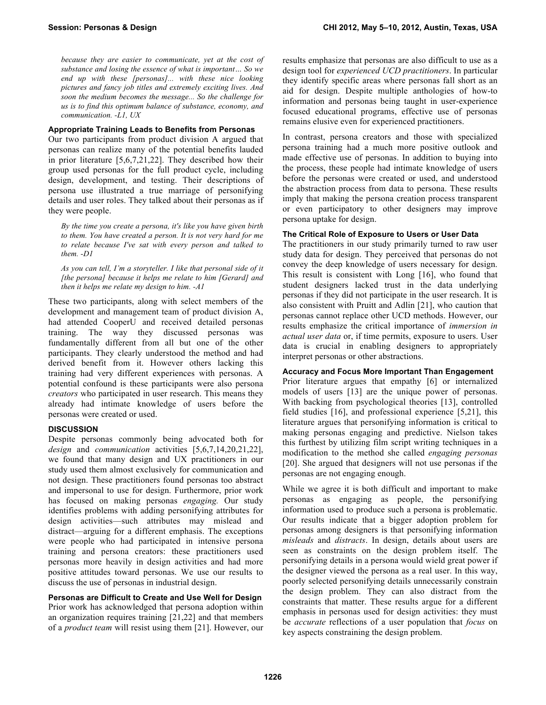*because they are easier to communicate, yet at the cost of substance and losing the essence of what is important… So we end up with these [personas]... with these nice looking pictures and fancy job titles and extremely exciting lives. And soon the medium becomes the message... So the challenge for us is to find this optimum balance of substance, economy, and communication. -L1, UX*

#### **Appropriate Training Leads to Benefits from Personas**

Our two participants from product division A argued that personas can realize many of the potential benefits lauded in prior literature [5,6,7,21,22]. They described how their group used personas for the full product cycle, including design, development, and testing. Their descriptions of persona use illustrated a true marriage of personifying details and user roles. They talked about their personas as if they were people.

*By the time you create a persona, it's like you have given birth to them. You have created a person. It is not very hard for me to relate because I've sat with every person and talked to them. -D1*

*As you can tell, I'm a storyteller. I like that personal side of it [the persona] because it helps me relate to him [Gerard] and then it helps me relate my design to him. -A1*

These two participants, along with select members of the development and management team of product division A, had attended CooperU and received detailed personas training. The way they discussed personas was fundamentally different from all but one of the other participants. They clearly understood the method and had derived benefit from it. However others lacking this training had very different experiences with personas. A potential confound is these participants were also persona *creators* who participated in user research. This means they already had intimate knowledge of users before the personas were created or used.

#### **DISCUSSION**

Despite personas commonly being advocated both for *design* and *communication* activities [5,6,7,14,20,21,22], we found that many design and UX practitioners in our study used them almost exclusively for communication and not design. These practitioners found personas too abstract and impersonal to use for design. Furthermore, prior work has focused on making personas *engaging.* Our study identifies problems with adding personifying attributes for design activities—such attributes may mislead and distract—arguing for a different emphasis. The exceptions were people who had participated in intensive persona training and persona creators: these practitioners used personas more heavily in design activities and had more positive attitudes toward personas. We use our results to discuss the use of personas in industrial design.

#### **Personas are Difficult to Create and Use Well for Design**

Prior work has acknowledged that persona adoption within an organization requires training [21,22] and that members of a *product team* will resist using them [21]. However, our results emphasize that personas are also difficult to use as a design tool for *experienced UCD practitioners*. In particular they identify specific areas where personas fall short as an aid for design. Despite multiple anthologies of how-to information and personas being taught in user-experience focused educational programs, effective use of personas remains elusive even for experienced practitioners.

In contrast, persona creators and those with specialized persona training had a much more positive outlook and made effective use of personas. In addition to buying into the process, these people had intimate knowledge of users before the personas were created or used, and understood the abstraction process from data to persona. These results imply that making the persona creation process transparent or even participatory to other designers may improve persona uptake for design.

#### **The Critical Role of Exposure to Users or User Data**

The practitioners in our study primarily turned to raw user study data for design. They perceived that personas do not convey the deep knowledge of users necessary for design. This result is consistent with Long [16], who found that student designers lacked trust in the data underlying personas if they did not participate in the user research. It is also consistent with Pruitt and Adlin [21], who caution that personas cannot replace other UCD methods. However, our results emphasize the critical importance of *immersion in actual user data* or, if time permits, exposure to users. User data is crucial in enabling designers to appropriately interpret personas or other abstractions.

## **Accuracy and Focus More Important Than Engagement**

Prior literature argues that empathy [6] or internalized models of users [13] are the unique power of personas. With backing from psychological theories [13], controlled field studies [16], and professional experience [5,21], this literature argues that personifying information is critical to making personas engaging and predictive. Nielson takes this furthest by utilizing film script writing techniques in a modification to the method she called *engaging personas* [20]. She argued that designers will not use personas if the personas are not engaging enough.

While we agree it is both difficult and important to make personas as engaging as people, the personifying information used to produce such a persona is problematic. Our results indicate that a bigger adoption problem for personas among designers is that personifying information *misleads* and *distracts*. In design, details about users are seen as constraints on the design problem itself. The personifying details in a persona would wield great power if the designer viewed the persona as a real user. In this way, poorly selected personifying details unnecessarily constrain the design problem. They can also distract from the constraints that matter. These results argue for a different emphasis in personas used for design activities: they must be *accurate* reflections of a user population that *focus* on key aspects constraining the design problem.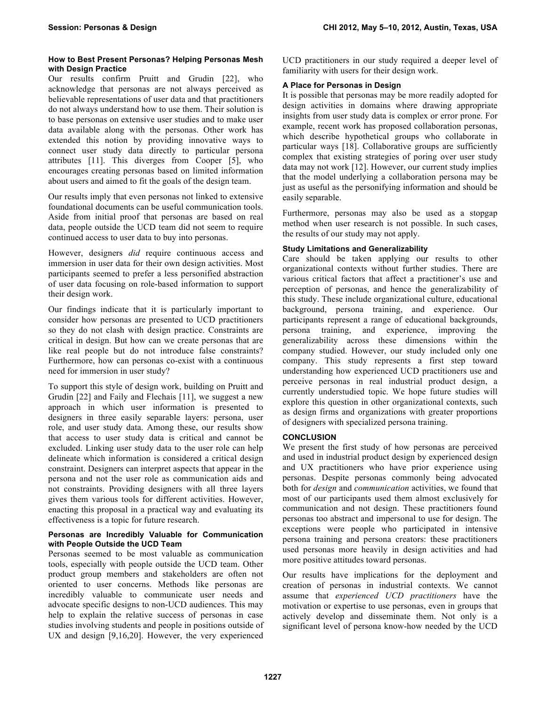## **How to Best Present Personas? Helping Personas Mesh with Design Practice**

Our results confirm Pruitt and Grudin [22], who acknowledge that personas are not always perceived as believable representations of user data and that practitioners do not always understand how to use them. Their solution is to base personas on extensive user studies and to make user data available along with the personas. Other work has extended this notion by providing innovative ways to connect user study data directly to particular persona attributes [11]. This diverges from Cooper [5], who encourages creating personas based on limited information about users and aimed to fit the goals of the design team.

Our results imply that even personas not linked to extensive foundational documents can be useful communication tools. Aside from initial proof that personas are based on real data, people outside the UCD team did not seem to require continued access to user data to buy into personas.

However, designers *did* require continuous access and immersion in user data for their own design activities. Most participants seemed to prefer a less personified abstraction of user data focusing on role-based information to support their design work.

Our findings indicate that it is particularly important to consider how personas are presented to UCD practitioners so they do not clash with design practice. Constraints are critical in design. But how can we create personas that are like real people but do not introduce false constraints? Furthermore, how can personas co-exist with a continuous need for immersion in user study?

To support this style of design work, building on Pruitt and Grudin [22] and Faily and Flechais [11], we suggest a new approach in which user information is presented to designers in three easily separable layers: persona, user role, and user study data. Among these, our results show that access to user study data is critical and cannot be excluded. Linking user study data to the user role can help delineate which information is considered a critical design constraint. Designers can interpret aspects that appear in the persona and not the user role as communication aids and not constraints. Providing designers with all three layers gives them various tools for different activities. However, enacting this proposal in a practical way and evaluating its effectiveness is a topic for future research.

## **Personas are Incredibly Valuable for Communication with People Outside the UCD Team**

Personas seemed to be most valuable as communication tools, especially with people outside the UCD team. Other product group members and stakeholders are often not oriented to user concerns. Methods like personas are incredibly valuable to communicate user needs and advocate specific designs to non-UCD audiences. This may help to explain the relative success of personas in case studies involving students and people in positions outside of UX and design [9,16,20]. However, the very experienced UCD practitioners in our study required a deeper level of familiarity with users for their design work.

# **A Place for Personas in Design**

It is possible that personas may be more readily adopted for design activities in domains where drawing appropriate insights from user study data is complex or error prone. For example, recent work has proposed collaboration personas, which describe hypothetical groups who collaborate in particular ways [18]. Collaborative groups are sufficiently complex that existing strategies of poring over user study data may not work [12]. However, our current study implies that the model underlying a collaboration persona may be just as useful as the personifying information and should be easily separable.

Furthermore, personas may also be used as a stopgap method when user research is not possible. In such cases, the results of our study may not apply.

# **Study Limitations and Generalizability**

Care should be taken applying our results to other organizational contexts without further studies. There are various critical factors that affect a practitioner's use and perception of personas, and hence the generalizability of this study. These include organizational culture, educational background, persona training, and experience. Our participants represent a range of educational backgrounds, persona training, and experience, improving the generalizability across these dimensions within the company studied. However, our study included only one company. This study represents a first step toward understanding how experienced UCD practitioners use and perceive personas in real industrial product design, a currently understudied topic. We hope future studies will explore this question in other organizational contexts, such as design firms and organizations with greater proportions of designers with specialized persona training.

# **CONCLUSION**

We present the first study of how personas are perceived and used in industrial product design by experienced design and UX practitioners who have prior experience using personas. Despite personas commonly being advocated both for *design* and *communication* activities, we found that most of our participants used them almost exclusively for communication and not design. These practitioners found personas too abstract and impersonal to use for design. The exceptions were people who participated in intensive persona training and persona creators: these practitioners used personas more heavily in design activities and had more positive attitudes toward personas.

Our results have implications for the deployment and creation of personas in industrial contexts. We cannot assume that *experienced UCD practitioners* have the motivation or expertise to use personas, even in groups that actively develop and disseminate them. Not only is a significant level of persona know-how needed by the UCD